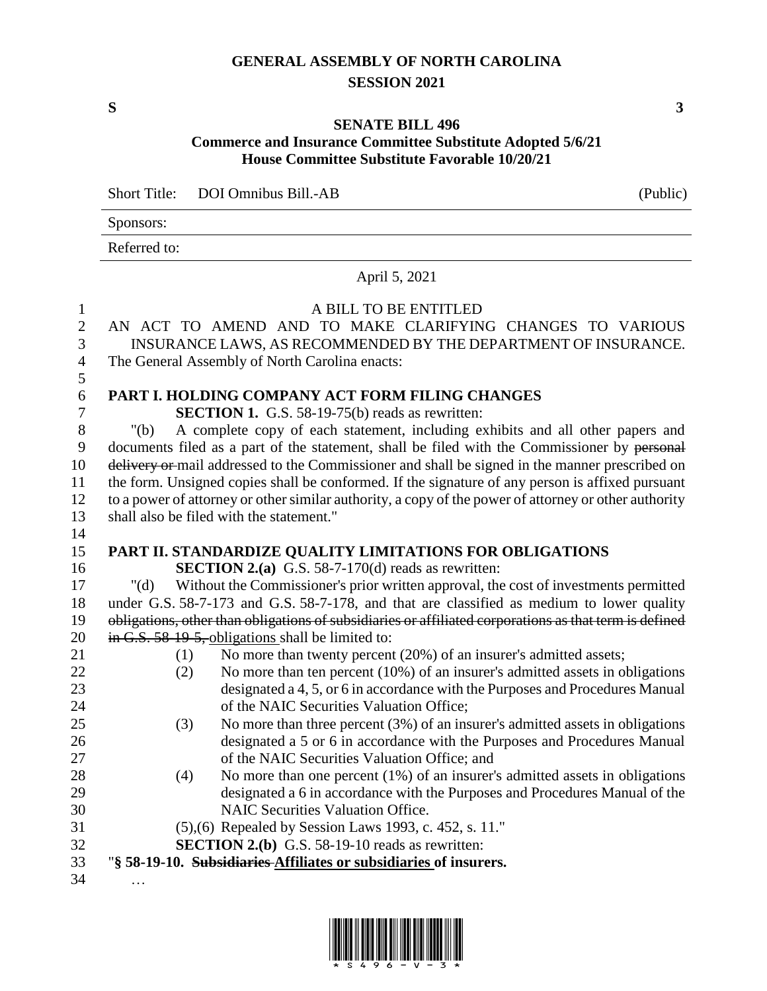## **GENERAL ASSEMBLY OF NORTH CAROLINA SESSION 2021**

**S 3**

## **SENATE BILL 496**

**Commerce and Insurance Committee Substitute Adopted 5/6/21 House Committee Substitute Favorable 10/20/21**

Short Title: DOI Omnibus Bill.-AB (Public)

Sponsors:

Referred to:

April 5, 2021 A BILL TO BE ENTITLED AN ACT TO AMEND AND TO MAKE CLARIFYING CHANGES TO VARIOUS INSURANCE LAWS, AS RECOMMENDED BY THE DEPARTMENT OF INSURANCE. The General Assembly of North Carolina enacts: **PART I. HOLDING COMPANY ACT FORM FILING CHANGES SECTION 1.** G.S. 58-19-75(b) reads as rewritten: "(b) A complete copy of each statement, including exhibits and all other papers and documents filed as a part of the statement, shall be filed with the Commissioner by personal 10 delivery or mail addressed to the Commissioner and shall be signed in the manner prescribed on the form. Unsigned copies shall be conformed. If the signature of any person is affixed pursuant to a power of attorney or other similar authority, a copy of the power of attorney or other authority shall also be filed with the statement." **PART II. STANDARDIZE QUALITY LIMITATIONS FOR OBLIGATIONS SECTION 2.(a)** G.S. 58-7-170(d) reads as rewritten: "(d) Without the Commissioner's prior written approval, the cost of investments permitted under G.S. 58-7-173 and G.S. 58-7-178, and that are classified as medium to lower quality obligations, other than obligations of subsidiaries or affiliated corporations as that term is defined 20 in G.S.  $58-19-5$ , obligations shall be limited to: 21 (1) No more than twenty percent (20%) of an insurer's admitted assets; (2) No more than ten percent (10%) of an insurer's admitted assets in obligations designated a 4, 5, or 6 in accordance with the Purposes and Procedures Manual 24 of the NAIC Securities Valuation Office; (3) No more than three percent (3%) of an insurer's admitted assets in obligations designated a 5 or 6 in accordance with the Purposes and Procedures Manual of the NAIC Securities Valuation Office; and (4) No more than one percent (1%) of an insurer's admitted assets in obligations designated a 6 in accordance with the Purposes and Procedures Manual of the NAIC Securities Valuation Office. (5),(6) Repealed by Session Laws 1993, c. 452, s. 11." **SECTION 2.(b)** G.S. 58-19-10 reads as rewritten: "**§ 58-19-10. Subsidiaries Affiliates or subsidiaries of insurers.** …

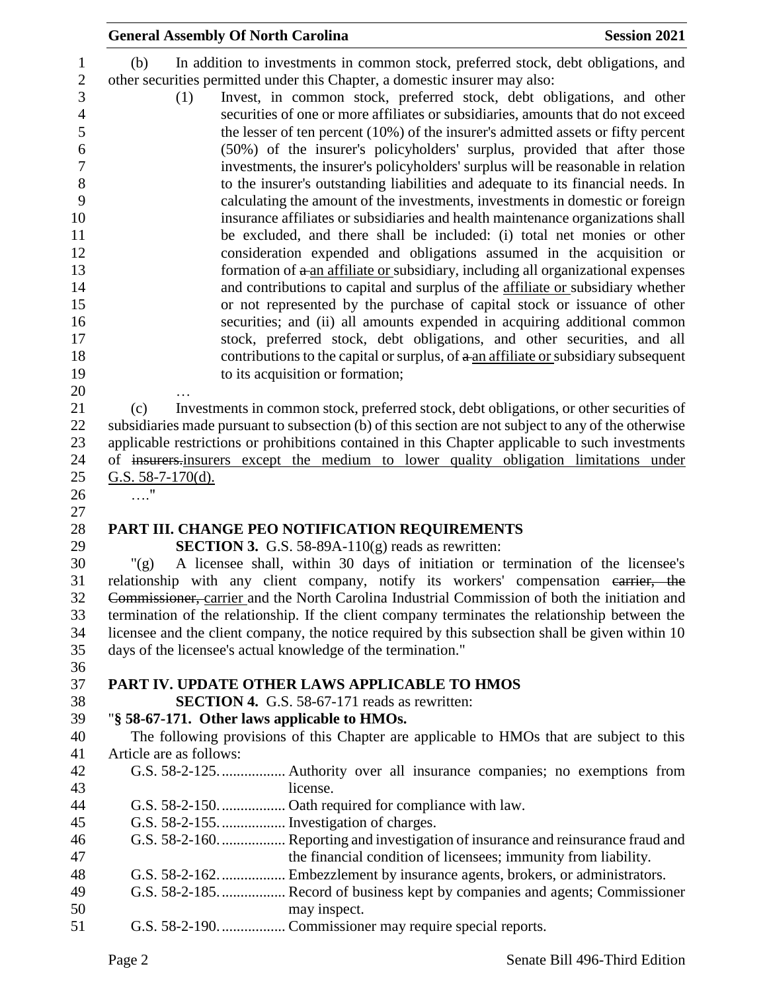| <b>General Assembly Of North Carolina</b>                                                            | <b>Session 2021</b> |
|------------------------------------------------------------------------------------------------------|---------------------|
| In addition to investments in common stock, preferred stock, debt obligations, and<br>(b)            |                     |
| other securities permitted under this Chapter, a domestic insurer may also:                          |                     |
| Invest, in common stock, preferred stock, debt obligations, and other<br>(1)                         |                     |
| securities of one or more affiliates or subsidiaries, amounts that do not exceed                     |                     |
| the lesser of ten percent $(10\%)$ of the insurer's admitted assets or fifty percent                 |                     |
| (50%) of the insurer's policyholders' surplus, provided that after those                             |                     |
| investments, the insurer's policyholders' surplus will be reasonable in relation                     |                     |
| to the insurer's outstanding liabilities and adequate to its financial needs. In                     |                     |
| calculating the amount of the investments, investments in domestic or foreign                        |                     |
| insurance affiliates or subsidiaries and health maintenance organizations shall                      |                     |
| be excluded, and there shall be included: (i) total net monies or other                              |                     |
| consideration expended and obligations assumed in the acquisition or                                 |                     |
| formation of $a$ -an affiliate or subsidiary, including all organizational expenses                  |                     |
| and contributions to capital and surplus of the affiliate or subsidiary whether                      |                     |
| or not represented by the purchase of capital stock or issuance of other                             |                     |
| securities; and (ii) all amounts expended in acquiring additional common                             |                     |
| stock, preferred stock, debt obligations, and other securities, and all                              |                     |
| contributions to the capital or surplus, of $a$ -an affiliate or subsidiary subsequent               |                     |
| to its acquisition or formation;                                                                     |                     |
|                                                                                                      |                     |
| Investments in common stock, preferred stock, debt obligations, or other securities of<br>(c)        |                     |
| subsidiaries made pursuant to subsection (b) of this section are not subject to any of the otherwise |                     |
| applicable restrictions or prohibitions contained in this Chapter applicable to such investments     |                     |
| of insurers-insurers except the medium to lower quality obligation limitations under                 |                     |
| G.S. $58-7-170(d)$ .                                                                                 |                     |
| 11                                                                                                   |                     |
|                                                                                                      |                     |
| PART III. CHANGE PEO NOTIFICATION REQUIREMENTS                                                       |                     |
| <b>SECTION 3.</b> G.S. 58-89A-110 $(g)$ reads as rewritten:                                          |                     |
| A licensee shall, within 30 days of initiation or termination of the licensee's<br>" $(g)$           |                     |
| relationship with any client company, notify its workers' compensation earrier, the                  |                     |
| Commissioner, carrier and the North Carolina Industrial Commission of both the initiation and        |                     |
| termination of the relationship. If the client company terminates the relationship between the       |                     |
| licensee and the client company, the notice required by this subsection shall be given within 10     |                     |
| days of the licensee's actual knowledge of the termination."                                         |                     |
| PART IV. UPDATE OTHER LAWS APPLICABLE TO HMOS                                                        |                     |
| <b>SECTION 4.</b> G.S. 58-67-171 reads as rewritten:                                                 |                     |
| "§ 58-67-171. Other laws applicable to HMOs.                                                         |                     |
| The following provisions of this Chapter are applicable to HMOs that are subject to this             |                     |
| Article are as follows:                                                                              |                     |
|                                                                                                      |                     |
| license.                                                                                             |                     |
| G.S. 58-2-150 Oath required for compliance with law.                                                 |                     |
|                                                                                                      |                     |
| G.S. 58-2-160 Reporting and investigation of insurance and reinsurance fraud and                     |                     |
| the financial condition of licensees; immunity from liability.                                       |                     |
| G.S. 58-2-162 Embezzlement by insurance agents, brokers, or administrators.                          |                     |
| G.S. 58-2-185 Record of business kept by companies and agents; Commissioner                          |                     |
| may inspect.                                                                                         |                     |
|                                                                                                      |                     |
|                                                                                                      |                     |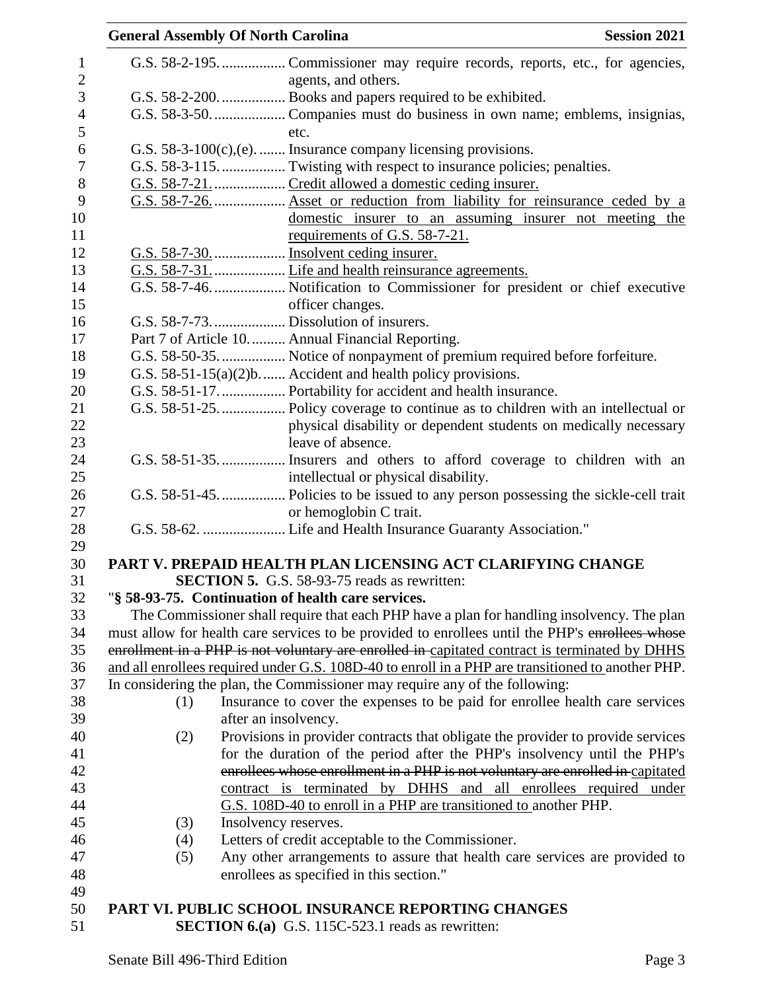|                                | <b>General Assembly Of North Carolina</b>          |                                                                                                                               | <b>Session 2021</b> |
|--------------------------------|----------------------------------------------------|-------------------------------------------------------------------------------------------------------------------------------|---------------------|
| $\mathbf{1}$<br>$\overline{c}$ |                                                    | agents, and others.                                                                                                           |                     |
| 3                              |                                                    | G.S. 58-2-200.  Books and papers required to be exhibited.                                                                    |                     |
| $\overline{4}$                 |                                                    |                                                                                                                               |                     |
| 5                              |                                                    | etc.                                                                                                                          |                     |
| 6                              |                                                    | G.S. 58-3-100(c),(e).  Insurance company licensing provisions.                                                                |                     |
| $\boldsymbol{7}$               |                                                    |                                                                                                                               |                     |
| 8                              |                                                    |                                                                                                                               |                     |
| 9                              |                                                    | G.S. 58-7-26.  Solution September 2.58-7-26.  Asset or reduction from liability for reinsurance ceded by a                    |                     |
| 10                             |                                                    | domestic insurer to an assuming insurer not meeting the                                                                       |                     |
| 11                             |                                                    | requirements of G.S. 58-7-21.                                                                                                 |                     |
| 12                             |                                                    | G.S. 58-7-30.  Insolvent ceding insurer.                                                                                      |                     |
| 13                             |                                                    |                                                                                                                               |                     |
| 14                             |                                                    |                                                                                                                               |                     |
| 15                             |                                                    | officer changes.<br>G.S. 58-7-73.  Dissolution of insurers.                                                                   |                     |
| 16                             |                                                    |                                                                                                                               |                     |
| 17                             |                                                    | Part 7 of Article 10 Annual Financial Reporting.                                                                              |                     |
| 18                             |                                                    | G.S. 58-50-35.  Notice of nonpayment of premium required before forfeiture.                                                   |                     |
| 19<br>20                       |                                                    | G.S. 58-51-15(a)(2)b Accident and health policy provisions.<br>G.S. 58-51-17.  Portability for accident and health insurance. |                     |
| 21                             |                                                    |                                                                                                                               |                     |
| 22                             |                                                    | physical disability or dependent students on medically necessary                                                              |                     |
| 23                             |                                                    | leave of absence.                                                                                                             |                     |
| 24                             |                                                    |                                                                                                                               |                     |
| 25                             |                                                    | intellectual or physical disability.                                                                                          |                     |
| 26                             |                                                    | G.S. 58-51-45 Policies to be issued to any person possessing the sickle-cell trait                                            |                     |
| 27                             |                                                    | or hemoglobin C trait.                                                                                                        |                     |
| 28                             |                                                    | G.S. 58-62.  Life and Health Insurance Guaranty Association."                                                                 |                     |
| 29                             |                                                    |                                                                                                                               |                     |
| 30                             |                                                    | PART V. PREPAID HEALTH PLAN LICENSING ACT CLARIFYING CHANGE                                                                   |                     |
| 31                             |                                                    | <b>SECTION 5.</b> G.S. 58-93-75 reads as rewritten:                                                                           |                     |
| 32                             | "§ 58-93-75. Continuation of health care services. |                                                                                                                               |                     |
| 33                             |                                                    | The Commissioner shall require that each PHP have a plan for handling insolvency. The plan                                    |                     |
| 34                             |                                                    | must allow for health care services to be provided to enrollees until the PHP's enrollees whose                               |                     |
| 35                             |                                                    | enrollment in a PHP is not voluntary are enrolled in capitated contract is terminated by DHHS                                 |                     |
| 36                             |                                                    | and all enrollees required under G.S. 108D-40 to enroll in a PHP are transitioned to another PHP.                             |                     |
| 37                             |                                                    | In considering the plan, the Commissioner may require any of the following:                                                   |                     |
| 38                             | (1)                                                | Insurance to cover the expenses to be paid for enrollee health care services                                                  |                     |
| 39                             |                                                    | after an insolvency.                                                                                                          |                     |
| 40                             | (2)                                                | Provisions in provider contracts that obligate the provider to provide services                                               |                     |
| 41                             |                                                    | for the duration of the period after the PHP's insolvency until the PHP's                                                     |                     |
| 42                             |                                                    | enrollees whose enrollment in a PHP is not voluntary are enrolled in capitated                                                |                     |
| 43                             |                                                    | contract is terminated by DHHS and all enrollees required under                                                               |                     |
| 44                             |                                                    | G.S. 108D-40 to enroll in a PHP are transitioned to another PHP.                                                              |                     |
| 45                             | (3)                                                | Insolvency reserves.                                                                                                          |                     |
| 46                             | (4)                                                | Letters of credit acceptable to the Commissioner.                                                                             |                     |
| 47                             | (5)                                                | Any other arrangements to assure that health care services are provided to                                                    |                     |
| 48                             |                                                    | enrollees as specified in this section."                                                                                      |                     |
| 49<br>50                       |                                                    | PART VI. PUBLIC SCHOOL INSURANCE REPORTING CHANGES                                                                            |                     |
| 51                             |                                                    | <b>SECTION 6.(a)</b> G.S. 115C-523.1 reads as rewritten:                                                                      |                     |
|                                |                                                    |                                                                                                                               |                     |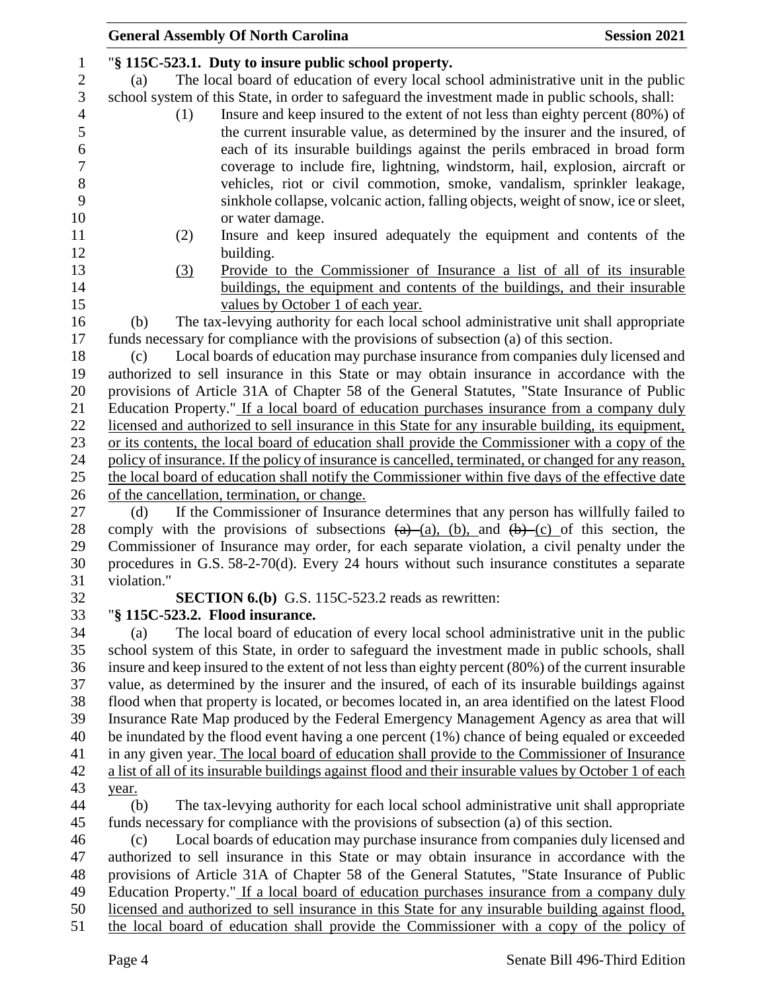|                          | <b>General Assembly Of North Carolina</b><br><b>Session 2021</b>                                                                                                                                        |
|--------------------------|---------------------------------------------------------------------------------------------------------------------------------------------------------------------------------------------------------|
| 1                        | "§ 115C-523.1. Duty to insure public school property.                                                                                                                                                   |
| $\overline{c}$           | The local board of education of every local school administrative unit in the public<br>(a)                                                                                                             |
| 3                        | school system of this State, in order to safeguard the investment made in public schools, shall:                                                                                                        |
| $\overline{\mathcal{L}}$ | Insure and keep insured to the extent of not less than eighty percent (80%) of<br>(1)                                                                                                                   |
| 5                        | the current insurable value, as determined by the insurer and the insured, of                                                                                                                           |
| 6                        | each of its insurable buildings against the perils embraced in broad form                                                                                                                               |
| $\tau$                   | coverage to include fire, lightning, windstorm, hail, explosion, aircraft or                                                                                                                            |
| $8\,$                    | vehicles, riot or civil commotion, smoke, vandalism, sprinkler leakage,                                                                                                                                 |
| 9                        | sinkhole collapse, volcanic action, falling objects, weight of snow, ice or sleet,                                                                                                                      |
| 10                       | or water damage.                                                                                                                                                                                        |
| 11                       | (2)<br>Insure and keep insured adequately the equipment and contents of the                                                                                                                             |
| 12                       | building.                                                                                                                                                                                               |
| 13                       | Provide to the Commissioner of Insurance a list of all of its insurable<br>(3)                                                                                                                          |
| 14                       | buildings, the equipment and contents of the buildings, and their insurable                                                                                                                             |
| 15                       | values by October 1 of each year.                                                                                                                                                                       |
| 16                       | The tax-levying authority for each local school administrative unit shall appropriate<br>(b)                                                                                                            |
| 17                       | funds necessary for compliance with the provisions of subsection (a) of this section.                                                                                                                   |
| 18                       | Local boards of education may purchase insurance from companies duly licensed and<br>(c)                                                                                                                |
| 19                       | authorized to sell insurance in this State or may obtain insurance in accordance with the                                                                                                               |
| 20                       | provisions of Article 31A of Chapter 58 of the General Statutes, "State Insurance of Public                                                                                                             |
| 21                       | Education Property." If a local board of education purchases insurance from a company duly                                                                                                              |
| 22                       | licensed and authorized to sell insurance in this State for any insurable building, its equipment,                                                                                                      |
| 23                       | or its contents, the local board of education shall provide the Commissioner with a copy of the                                                                                                         |
| 24                       | policy of insurance. If the policy of insurance is cancelled, terminated, or changed for any reason,                                                                                                    |
| 25                       | the local board of education shall notify the Commissioner within five days of the effective date                                                                                                       |
| 26                       | of the cancellation, termination, or change.                                                                                                                                                            |
| 27                       | If the Commissioner of Insurance determines that any person has willfully failed to<br>(d)                                                                                                              |
| 28                       | comply with the provisions of subsections $(a)$ (a), (b), and $(b)$ (c) of this section, the                                                                                                            |
| 29                       | Commissioner of Insurance may order, for each separate violation, a civil penalty under the                                                                                                             |
| 30                       | procedures in G.S. 58-2-70(d). Every 24 hours without such insurance constitutes a separate                                                                                                             |
| 31                       | violation."                                                                                                                                                                                             |
| 32                       | SECTION 6.(b) G.S. 115C-523.2 reads as rewritten:                                                                                                                                                       |
| 33                       | "§ 115C-523.2. Flood insurance.                                                                                                                                                                         |
| 34                       | The local board of education of every local school administrative unit in the public<br>(a)                                                                                                             |
| 35                       | school system of this State, in order to safeguard the investment made in public schools, shall<br>insure and keep insured to the extent of not less than eighty percent (80%) of the current insurable |
| 36<br>37                 | value, as determined by the insurer and the insured, of each of its insurable buildings against                                                                                                         |
| 38                       | flood when that property is located, or becomes located in, an area identified on the latest Flood                                                                                                      |
| 39                       | Insurance Rate Map produced by the Federal Emergency Management Agency as area that will                                                                                                                |
| 40                       | be inundated by the flood event having a one percent (1%) chance of being equaled or exceeded                                                                                                           |
| 41                       | in any given year. The local board of education shall provide to the Commissioner of Insurance                                                                                                          |
| 42                       | a list of all of its insurable buildings against flood and their insurable values by October 1 of each                                                                                                  |
| 43                       | year.                                                                                                                                                                                                   |
| 44                       | The tax-levying authority for each local school administrative unit shall appropriate<br>(b)                                                                                                            |
| 45                       | funds necessary for compliance with the provisions of subsection (a) of this section.                                                                                                                   |
| 46                       | Local boards of education may purchase insurance from companies duly licensed and<br>(c)                                                                                                                |
| 47                       | authorized to sell insurance in this State or may obtain insurance in accordance with the                                                                                                               |
| 48                       | provisions of Article 31A of Chapter 58 of the General Statutes, "State Insurance of Public                                                                                                             |
| 49                       | Education Property." If a local board of education purchases insurance from a company duly                                                                                                              |
| 50                       | licensed and authorized to sell insurance in this State for any insurable building against flood,                                                                                                       |
| 51                       | the local board of education shall provide the Commissioner with a copy of the policy of                                                                                                                |
|                          |                                                                                                                                                                                                         |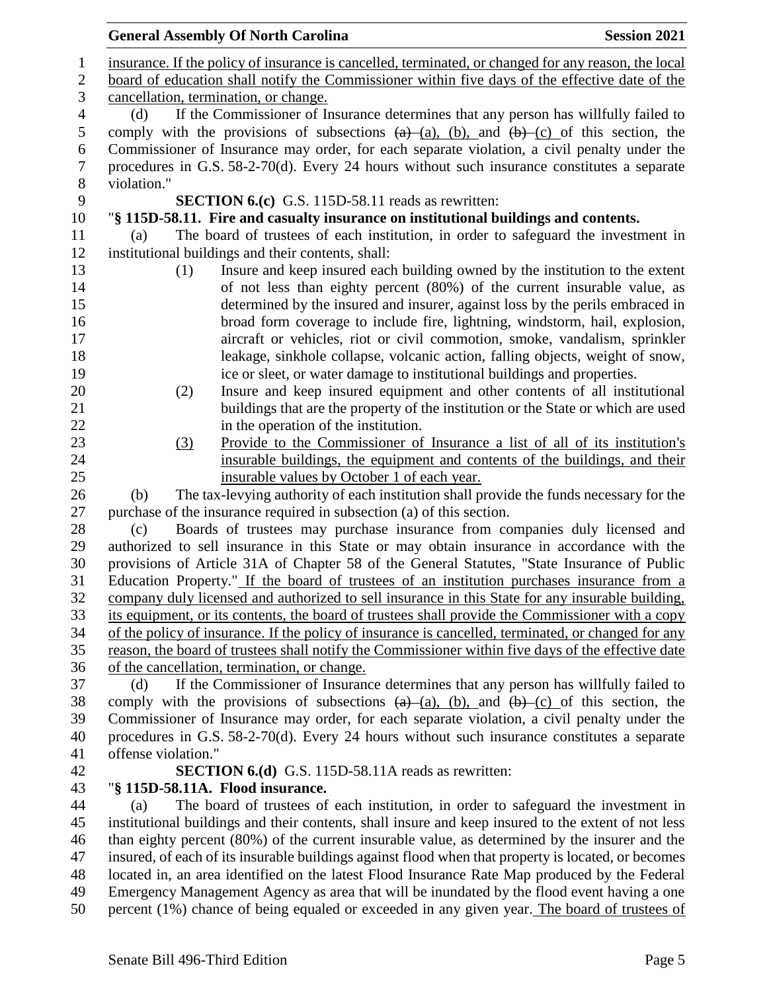|                  |                                                                                                | <b>General Assembly Of North Carolina</b>                                                                                                                   | <b>Session 2021</b> |  |  |  |
|------------------|------------------------------------------------------------------------------------------------|-------------------------------------------------------------------------------------------------------------------------------------------------------------|---------------------|--|--|--|
| $\mathbf{1}$     |                                                                                                | insurance. If the policy of insurance is cancelled, terminated, or changed for any reason, the local                                                        |                     |  |  |  |
| $\sqrt{2}$<br>3  | board of education shall notify the Commissioner within five days of the effective date of the |                                                                                                                                                             |                     |  |  |  |
| $\overline{4}$   | cancellation, termination, or change.                                                          |                                                                                                                                                             |                     |  |  |  |
| 5                | (d)                                                                                            | If the Commissioner of Insurance determines that any person has willfully failed to                                                                         |                     |  |  |  |
| 6                |                                                                                                | comply with the provisions of subsections $(a)$ (a), (b), and $(b)$ (c) of this section, the                                                                |                     |  |  |  |
| $\tau$           |                                                                                                | Commissioner of Insurance may order, for each separate violation, a civil penalty under the                                                                 |                     |  |  |  |
| $\, 8$           | violation."                                                                                    | procedures in G.S. 58-2-70(d). Every 24 hours without such insurance constitutes a separate                                                                 |                     |  |  |  |
| $\boldsymbol{9}$ |                                                                                                |                                                                                                                                                             |                     |  |  |  |
|                  |                                                                                                | <b>SECTION 6.(c)</b> G.S. 115D-58.11 reads as rewritten:                                                                                                    |                     |  |  |  |
| 10<br>11         |                                                                                                | "§ 115D-58.11. Fire and casualty insurance on institutional buildings and contents.                                                                         |                     |  |  |  |
| 12               | (a)                                                                                            | The board of trustees of each institution, in order to safeguard the investment in                                                                          |                     |  |  |  |
| 13               |                                                                                                | institutional buildings and their contents, shall:                                                                                                          |                     |  |  |  |
|                  | (1)                                                                                            | Insure and keep insured each building owned by the institution to the extent                                                                                |                     |  |  |  |
| 14               |                                                                                                | of not less than eighty percent (80%) of the current insurable value, as                                                                                    |                     |  |  |  |
| 15<br>16         |                                                                                                | determined by the insured and insurer, against loss by the perils embraced in                                                                               |                     |  |  |  |
| 17               |                                                                                                | broad form coverage to include fire, lightning, windstorm, hail, explosion,                                                                                 |                     |  |  |  |
| 18               |                                                                                                | aircraft or vehicles, riot or civil commotion, smoke, vandalism, sprinkler<br>leakage, sinkhole collapse, volcanic action, falling objects, weight of snow, |                     |  |  |  |
| 19               |                                                                                                | ice or sleet, or water damage to institutional buildings and properties.                                                                                    |                     |  |  |  |
| 20               | (2)                                                                                            | Insure and keep insured equipment and other contents of all institutional                                                                                   |                     |  |  |  |
| 21               |                                                                                                | buildings that are the property of the institution or the State or which are used                                                                           |                     |  |  |  |
| 22               |                                                                                                | in the operation of the institution.                                                                                                                        |                     |  |  |  |
| 23               | (3)                                                                                            | Provide to the Commissioner of Insurance a list of all of its institution's                                                                                 |                     |  |  |  |
| 24               |                                                                                                | insurable buildings, the equipment and contents of the buildings, and their                                                                                 |                     |  |  |  |
| 25               |                                                                                                | insurable values by October 1 of each year.                                                                                                                 |                     |  |  |  |
| 26               | (b)                                                                                            | The tax-levying authority of each institution shall provide the funds necessary for the                                                                     |                     |  |  |  |
| 27               |                                                                                                | purchase of the insurance required in subsection (a) of this section.                                                                                       |                     |  |  |  |
| 28               | (c)                                                                                            | Boards of trustees may purchase insurance from companies duly licensed and                                                                                  |                     |  |  |  |
| 29               |                                                                                                | authorized to sell insurance in this State or may obtain insurance in accordance with the                                                                   |                     |  |  |  |
| 30               |                                                                                                | provisions of Article 31A of Chapter 58 of the General Statutes, "State Insurance of Public                                                                 |                     |  |  |  |
| 31               |                                                                                                | Education Property." If the board of trustees of an institution purchases insurance from a                                                                  |                     |  |  |  |
| 32               |                                                                                                | company duly licensed and authorized to sell insurance in this State for any insurable building,                                                            |                     |  |  |  |
| 33               |                                                                                                | its equipment, or its contents, the board of trustees shall provide the Commissioner with a copy                                                            |                     |  |  |  |
| 34               |                                                                                                | of the policy of insurance. If the policy of insurance is cancelled, terminated, or changed for any                                                         |                     |  |  |  |
| 35               |                                                                                                | reason, the board of trustees shall notify the Commissioner within five days of the effective date                                                          |                     |  |  |  |
| 36               |                                                                                                | of the cancellation, termination, or change.                                                                                                                |                     |  |  |  |
| 37               | (d)                                                                                            | If the Commissioner of Insurance determines that any person has willfully failed to                                                                         |                     |  |  |  |
| 38               |                                                                                                | comply with the provisions of subsections $(a)$ (a), (b), and $(b)$ (c) of this section, the                                                                |                     |  |  |  |
| 39               |                                                                                                | Commissioner of Insurance may order, for each separate violation, a civil penalty under the                                                                 |                     |  |  |  |
| 40               |                                                                                                | procedures in G.S. 58-2-70(d). Every 24 hours without such insurance constitutes a separate                                                                 |                     |  |  |  |
| 41               | offense violation."                                                                            |                                                                                                                                                             |                     |  |  |  |
| 42               |                                                                                                | <b>SECTION 6.(d)</b> G.S. 115D-58.11A reads as rewritten:                                                                                                   |                     |  |  |  |
| 43               |                                                                                                | "§ 115D-58.11A. Flood insurance.                                                                                                                            |                     |  |  |  |
| 44               | (a)                                                                                            | The board of trustees of each institution, in order to safeguard the investment in                                                                          |                     |  |  |  |
| 45               |                                                                                                | institutional buildings and their contents, shall insure and keep insured to the extent of not less                                                         |                     |  |  |  |
| 46               |                                                                                                | than eighty percent (80%) of the current insurable value, as determined by the insurer and the                                                              |                     |  |  |  |
| 47               |                                                                                                | insured, of each of its insurable buildings against flood when that property is located, or becomes                                                         |                     |  |  |  |
| 48               |                                                                                                | located in, an area identified on the latest Flood Insurance Rate Map produced by the Federal                                                               |                     |  |  |  |
| 49               |                                                                                                | Emergency Management Agency as area that will be inundated by the flood event having a one                                                                  |                     |  |  |  |
| 50               |                                                                                                | percent (1%) chance of being equaled or exceeded in any given year. The board of trustees of                                                                |                     |  |  |  |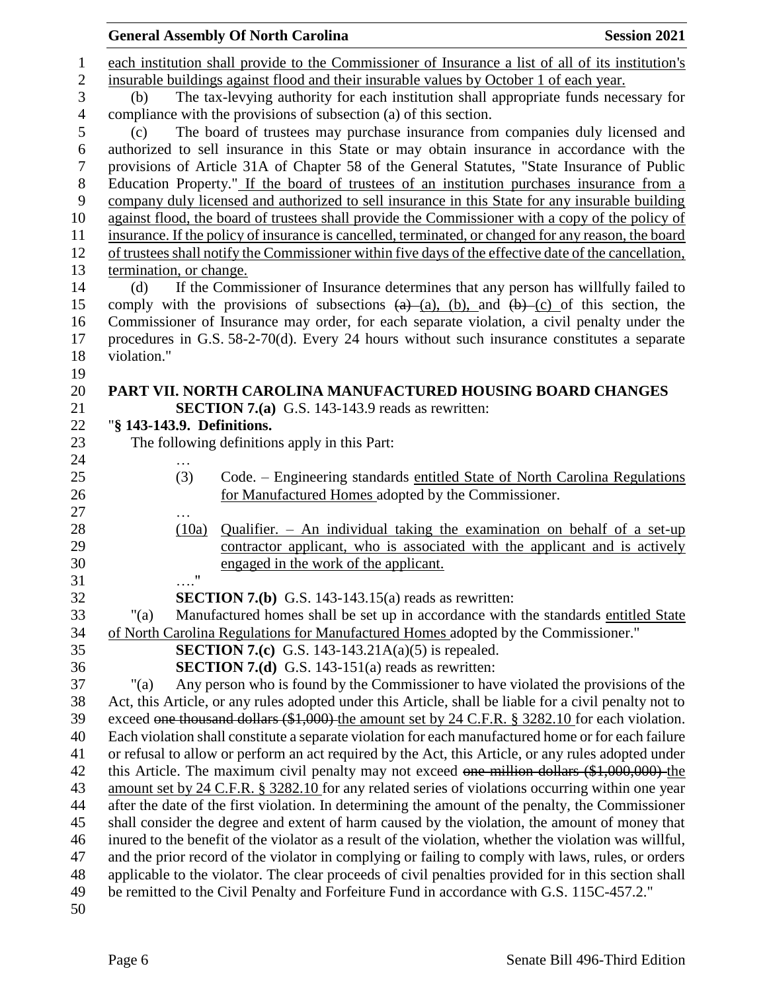|                | <b>General Assembly Of North Carolina</b>                                                                                                                                                              | <b>Session 2021</b> |  |  |  |  |
|----------------|--------------------------------------------------------------------------------------------------------------------------------------------------------------------------------------------------------|---------------------|--|--|--|--|
| 1              | each institution shall provide to the Commissioner of Insurance a list of all of its institution's                                                                                                     |                     |  |  |  |  |
| $\mathbf{2}$   | insurable buildings against flood and their insurable values by October 1 of each year.                                                                                                                |                     |  |  |  |  |
| 3              | The tax-levying authority for each institution shall appropriate funds necessary for<br>(b)                                                                                                            |                     |  |  |  |  |
| $\overline{4}$ | compliance with the provisions of subsection (a) of this section.                                                                                                                                      |                     |  |  |  |  |
| 5              | The board of trustees may purchase insurance from companies duly licensed and<br>(c)                                                                                                                   |                     |  |  |  |  |
| 6              | authorized to sell insurance in this State or may obtain insurance in accordance with the                                                                                                              |                     |  |  |  |  |
| $\tau$         | provisions of Article 31A of Chapter 58 of the General Statutes, "State Insurance of Public                                                                                                            |                     |  |  |  |  |
| $8\,$          | Education Property." If the board of trustees of an institution purchases insurance from a                                                                                                             |                     |  |  |  |  |
| 9              | company duly licensed and authorized to sell insurance in this State for any insurable building                                                                                                        |                     |  |  |  |  |
| 10             | against flood, the board of trustees shall provide the Commissioner with a copy of the policy of                                                                                                       |                     |  |  |  |  |
| 11             | insurance. If the policy of insurance is cancelled, terminated, or changed for any reason, the board                                                                                                   |                     |  |  |  |  |
| 12             | of trustees shall notify the Commissioner within five days of the effective date of the cancellation,                                                                                                  |                     |  |  |  |  |
| 13             | termination, or change.                                                                                                                                                                                |                     |  |  |  |  |
| 14             | If the Commissioner of Insurance determines that any person has willfully failed to<br>(d)                                                                                                             |                     |  |  |  |  |
| 15             | comply with the provisions of subsections $(a)$ (a), (b), and $(b)$ (c) of this section, the                                                                                                           |                     |  |  |  |  |
| 16             | Commissioner of Insurance may order, for each separate violation, a civil penalty under the                                                                                                            |                     |  |  |  |  |
| 17             | procedures in G.S. 58-2-70(d). Every 24 hours without such insurance constitutes a separate                                                                                                            |                     |  |  |  |  |
| 18             | violation."                                                                                                                                                                                            |                     |  |  |  |  |
| 19             |                                                                                                                                                                                                        |                     |  |  |  |  |
| 20             | PART VII. NORTH CAROLINA MANUFACTURED HOUSING BOARD CHANGES                                                                                                                                            |                     |  |  |  |  |
| 21             | <b>SECTION 7.(a)</b> G.S. 143-143.9 reads as rewritten:                                                                                                                                                |                     |  |  |  |  |
| 22             | "§ 143-143.9. Definitions.                                                                                                                                                                             |                     |  |  |  |  |
| 23             | The following definitions apply in this Part:                                                                                                                                                          |                     |  |  |  |  |
| 24             | $\ddotsc$                                                                                                                                                                                              |                     |  |  |  |  |
| 25             | (3)<br>Code. – Engineering standards entitled State of North Carolina Regulations                                                                                                                      |                     |  |  |  |  |
| 26             | for Manufactured Homes adopted by the Commissioner.                                                                                                                                                    |                     |  |  |  |  |
| 27             |                                                                                                                                                                                                        |                     |  |  |  |  |
| 28             | Qualifier. $-$ An individual taking the examination on behalf of a set-up<br>(10a)                                                                                                                     |                     |  |  |  |  |
| 29             | contractor applicant, who is associated with the applicant and is actively                                                                                                                             |                     |  |  |  |  |
| 30             | engaged in the work of the applicant.                                                                                                                                                                  |                     |  |  |  |  |
| 31             | $\ldots$ "                                                                                                                                                                                             |                     |  |  |  |  |
| 32             | <b>SECTION 7.(b)</b> G.S. 143-143.15(a) reads as rewritten:                                                                                                                                            |                     |  |  |  |  |
| 33             | " $(a)$<br>Manufactured homes shall be set up in accordance with the standards entitled State                                                                                                          |                     |  |  |  |  |
| 34             | of North Carolina Regulations for Manufactured Homes adopted by the Commissioner."                                                                                                                     |                     |  |  |  |  |
| 35             | <b>SECTION 7.(c)</b> G.S. 143-143.21A(a)(5) is repealed.                                                                                                                                               |                     |  |  |  |  |
| 36             | <b>SECTION 7.(d)</b> G.S. 143-151(a) reads as rewritten:                                                                                                                                               |                     |  |  |  |  |
| 37             | Any person who is found by the Commissioner to have violated the provisions of the<br>" $(a)$                                                                                                          |                     |  |  |  |  |
| 38<br>39       | Act, this Article, or any rules adopted under this Article, shall be liable for a civil penalty not to                                                                                                 |                     |  |  |  |  |
| 40             | exceed one thousand dollars (\$1,000) the amount set by 24 C.F.R. § 3282.10 for each violation.<br>Each violation shall constitute a separate violation for each manufactured home or for each failure |                     |  |  |  |  |
| 41             | or refusal to allow or perform an act required by the Act, this Article, or any rules adopted under                                                                                                    |                     |  |  |  |  |
| 42             | this Article. The maximum civil penalty may not exceed one million dollars (\$1,000,000) the                                                                                                           |                     |  |  |  |  |
| 43             | amount set by 24 C.F.R. § 3282.10 for any related series of violations occurring within one year                                                                                                       |                     |  |  |  |  |
| 44             | after the date of the first violation. In determining the amount of the penalty, the Commissioner                                                                                                      |                     |  |  |  |  |
| 45             | shall consider the degree and extent of harm caused by the violation, the amount of money that                                                                                                         |                     |  |  |  |  |
| 46             | inured to the benefit of the violator as a result of the violation, whether the violation was willful,                                                                                                 |                     |  |  |  |  |
| 47             | and the prior record of the violator in complying or failing to comply with laws, rules, or orders                                                                                                     |                     |  |  |  |  |
| 48             | applicable to the violator. The clear proceeds of civil penalties provided for in this section shall                                                                                                   |                     |  |  |  |  |
| 49             | be remitted to the Civil Penalty and Forfeiture Fund in accordance with G.S. 115C-457.2."                                                                                                              |                     |  |  |  |  |
| $\sim$ $\sim$  |                                                                                                                                                                                                        |                     |  |  |  |  |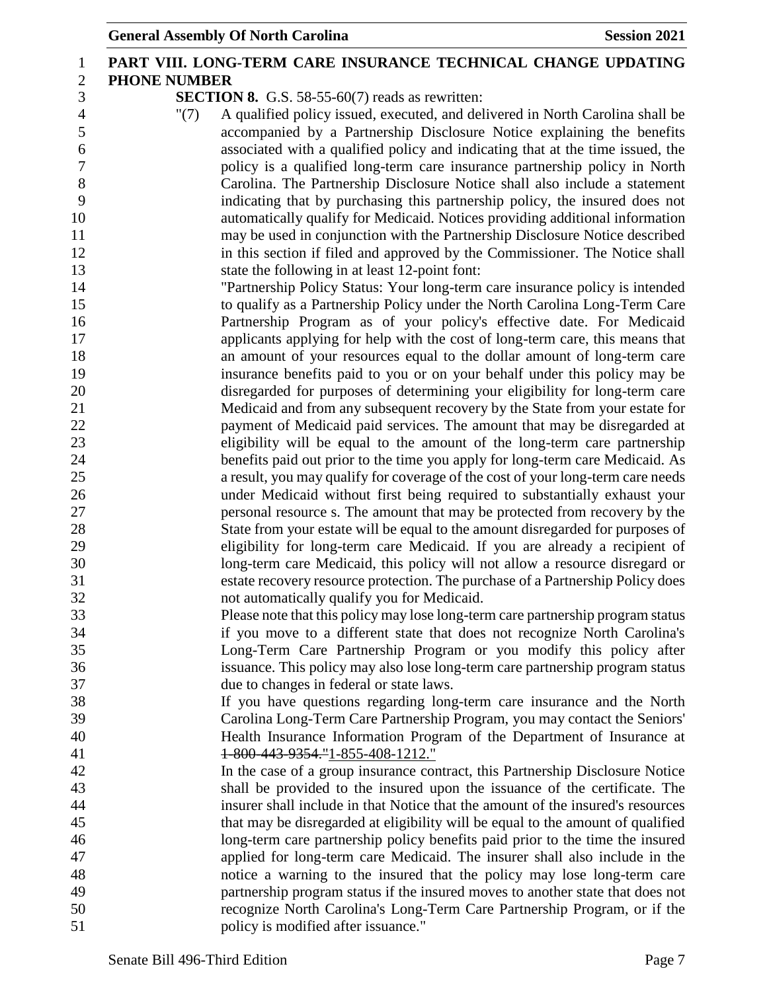|                                | <b>General Assembly Of North Carolina</b><br><b>Session 2021</b>                                                                                          |
|--------------------------------|-----------------------------------------------------------------------------------------------------------------------------------------------------------|
| $\mathbf{1}$<br>$\overline{2}$ | PART VIII. LONG-TERM CARE INSURANCE TECHNICAL CHANGE UPDATING<br><b>PHONE NUMBER</b>                                                                      |
| 3                              | <b>SECTION 8.</b> G.S. 58-55-60(7) reads as rewritten:                                                                                                    |
| $\overline{4}$                 | A qualified policy issued, executed, and delivered in North Carolina shall be<br>"(7)                                                                     |
| 5                              | accompanied by a Partnership Disclosure Notice explaining the benefits                                                                                    |
| 6                              | associated with a qualified policy and indicating that at the time issued, the                                                                            |
| $\overline{7}$                 | policy is a qualified long-term care insurance partnership policy in North                                                                                |
| 8                              | Carolina. The Partnership Disclosure Notice shall also include a statement                                                                                |
| 9                              | indicating that by purchasing this partnership policy, the insured does not                                                                               |
| 10                             | automatically qualify for Medicaid. Notices providing additional information                                                                              |
| 11                             | may be used in conjunction with the Partnership Disclosure Notice described                                                                               |
| 12                             | in this section if filed and approved by the Commissioner. The Notice shall                                                                               |
| 13                             | state the following in at least 12-point font:                                                                                                            |
| 14                             | "Partnership Policy Status: Your long-term care insurance policy is intended                                                                              |
| 15                             | to qualify as a Partnership Policy under the North Carolina Long-Term Care                                                                                |
| 16                             | Partnership Program as of your policy's effective date. For Medicaid                                                                                      |
| 17                             | applicants applying for help with the cost of long-term care, this means that                                                                             |
| 18                             | an amount of your resources equal to the dollar amount of long-term care                                                                                  |
| 19                             | insurance benefits paid to you or on your behalf under this policy may be                                                                                 |
| 20                             | disregarded for purposes of determining your eligibility for long-term care                                                                               |
| 21                             | Medicaid and from any subsequent recovery by the State from your estate for                                                                               |
| 22                             | payment of Medicaid paid services. The amount that may be disregarded at                                                                                  |
| 23                             | eligibility will be equal to the amount of the long-term care partnership                                                                                 |
| 24                             | benefits paid out prior to the time you apply for long-term care Medicaid. As                                                                             |
| 25                             | a result, you may qualify for coverage of the cost of your long-term care needs                                                                           |
| 26                             | under Medicaid without first being required to substantially exhaust your                                                                                 |
| 27                             | personal resource s. The amount that may be protected from recovery by the                                                                                |
| 28<br>29                       | State from your estate will be equal to the amount disregarded for purposes of                                                                            |
| 30                             | eligibility for long-term care Medicaid. If you are already a recipient of<br>long-term care Medicaid, this policy will not allow a resource disregard or |
| 31                             | estate recovery resource protection. The purchase of a Partnership Policy does                                                                            |
| 32                             | not automatically qualify you for Medicaid.                                                                                                               |
| 33                             | Please note that this policy may lose long-term care partnership program status                                                                           |
| 34                             | if you move to a different state that does not recognize North Carolina's                                                                                 |
| 35                             | Long-Term Care Partnership Program or you modify this policy after                                                                                        |
| 36                             | issuance. This policy may also lose long-term care partnership program status                                                                             |
| 37                             | due to changes in federal or state laws.                                                                                                                  |
| 38                             | If you have questions regarding long-term care insurance and the North                                                                                    |
| 39                             | Carolina Long-Term Care Partnership Program, you may contact the Seniors'                                                                                 |
| 40                             | Health Insurance Information Program of the Department of Insurance at                                                                                    |
| 41                             | 1-800-443-9354."1-855-408-1212."                                                                                                                          |
| 42                             | In the case of a group insurance contract, this Partnership Disclosure Notice                                                                             |
| 43                             | shall be provided to the insured upon the issuance of the certificate. The                                                                                |
| 44                             | insurer shall include in that Notice that the amount of the insured's resources                                                                           |
| 45                             | that may be disregarded at eligibility will be equal to the amount of qualified                                                                           |
| 46                             | long-term care partnership policy benefits paid prior to the time the insured                                                                             |
| 47                             | applied for long-term care Medicaid. The insurer shall also include in the                                                                                |
| 48                             | notice a warning to the insured that the policy may lose long-term care                                                                                   |
| 49                             | partnership program status if the insured moves to another state that does not                                                                            |
| 50                             | recognize North Carolina's Long-Term Care Partnership Program, or if the                                                                                  |
| 51                             | policy is modified after issuance."                                                                                                                       |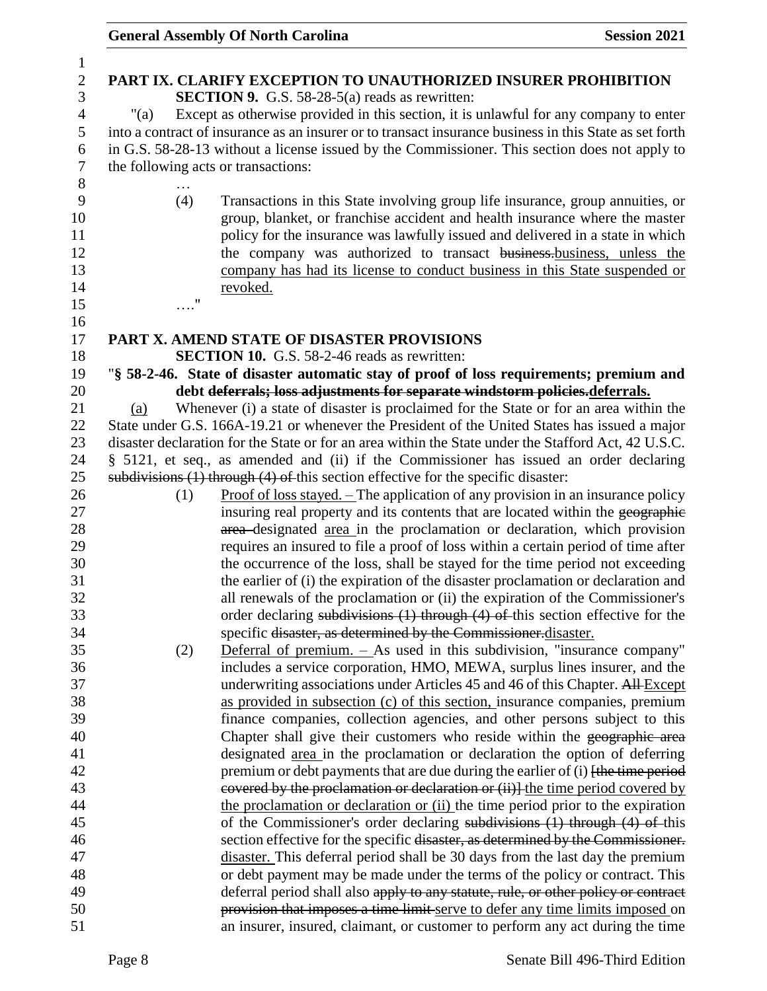| $\mathbf{1}$ |      |            |                                                                                                         |
|--------------|------|------------|---------------------------------------------------------------------------------------------------------|
| $\mathbf{2}$ |      |            | PART IX. CLARIFY EXCEPTION TO UNAUTHORIZED INSURER PROHIBITION                                          |
| 3            |      |            | <b>SECTION 9.</b> G.S. $58-28-5(a)$ reads as rewritten:                                                 |
| 4            | "(a) |            | Except as otherwise provided in this section, it is unlawful for any company to enter                   |
| 5            |      |            | into a contract of insurance as an insurer or to transact insurance business in this State as set forth |
| 6            |      |            | in G.S. 58-28-13 without a license issued by the Commissioner. This section does not apply to           |
| $\tau$       |      |            | the following acts or transactions:                                                                     |
| $8\,$        |      |            |                                                                                                         |
| 9            |      | .          | Transactions in this State involving group life insurance, group annuities, or                          |
|              |      | (4)        |                                                                                                         |
| 10           |      |            | group, blanket, or franchise accident and health insurance where the master                             |
| 11           |      |            | policy for the insurance was lawfully issued and delivered in a state in which                          |
| 12           |      |            | the company was authorized to transact business-business, unless the                                    |
| 13           |      |            | company has had its license to conduct business in this State suspended or                              |
| 14           |      |            | revoked.                                                                                                |
| 15           |      | $\ldots$ " |                                                                                                         |
| 16           |      |            |                                                                                                         |
| 17           |      |            | PART X. AMEND STATE OF DISASTER PROVISIONS                                                              |
| 18           |      |            | <b>SECTION 10.</b> G.S. 58-2-46 reads as rewritten:                                                     |
| 19           |      |            | "§ 58-2-46. State of disaster automatic stay of proof of loss requirements; premium and                 |
| 20           |      |            | debt deferrals; loss adjustments for separate windstorm policies.deferrals.                             |
| 21           | (a)  |            | Whenever (i) a state of disaster is proclaimed for the State or for an area within the                  |
| 22           |      |            | State under G.S. 166A-19.21 or whenever the President of the United States has issued a major           |
| 23           |      |            | disaster declaration for the State or for an area within the State under the Stafford Act, 42 U.S.C.    |
| 24           |      |            | § 5121, et seq., as amended and (ii) if the Commissioner has issued an order declaring                  |
| 25           |      |            | subdivisions $(1)$ through $(4)$ of this section effective for the specific disaster:                   |
| 26           |      | (1)        | Proof of loss stayed. $-$ The application of any provision in an insurance policy                       |
| 27           |      |            | insuring real property and its contents that are located within the geographic                          |
| 28           |      |            | area designated area in the proclamation or declaration, which provision                                |
| 29           |      |            | requires an insured to file a proof of loss within a certain period of time after                       |
| 30           |      |            | the occurrence of the loss, shall be stayed for the time period not exceeding                           |
| 31           |      |            | the earlier of (i) the expiration of the disaster proclamation or declaration and                       |
| 32           |      |            | all renewals of the proclamation or (ii) the expiration of the Commissioner's                           |
| 33           |      |            | order declaring subdivisions (1) through (4) of this section effective for the                          |
| 34           |      |            | specific disaster, as determined by the Commissioner.disaster.                                          |
| 35           |      | (2)        | Deferral of premium. $-$ As used in this subdivision, "insurance company"                               |
| 36           |      |            | includes a service corporation, HMO, MEWA, surplus lines insurer, and the                               |
| 37           |      |            | underwriting associations under Articles 45 and 46 of this Chapter. All Except                          |
| 38           |      |            | as provided in subsection (c) of this section, insurance companies, premium                             |
| 39           |      |            | finance companies, collection agencies, and other persons subject to this                               |
| 40           |      |            | Chapter shall give their customers who reside within the geographic area                                |
| 41           |      |            | designated <u>area</u> in the proclamation or declaration the option of deferring                       |
| 42           |      |            | premium or debt payments that are due during the earlier of (i) the time period                         |
| 43           |      |            | covered by the proclamation or declaration or (ii)] the time period covered by                          |
| 44           |      |            | the proclamation or declaration or (ii) the time period prior to the expiration                         |
| 45           |      |            | of the Commissioner's order declaring subdivisions $(1)$ through $(4)$ of this                          |
| 46           |      |            | section effective for the specific disaster, as determined by the Commissioner.                         |
| 47           |      |            | disaster. This deferral period shall be 30 days from the last day the premium                           |
| 48           |      |            | or debt payment may be made under the terms of the policy or contract. This                             |
| 49           |      |            | deferral period shall also apply to any statute, rule, or other policy or contract                      |
| 50           |      |            | provision that imposes a time limit serve to defer any time limits imposed on                           |
| 51           |      |            | an insurer, insured, claimant, or customer to perform any act during the time                           |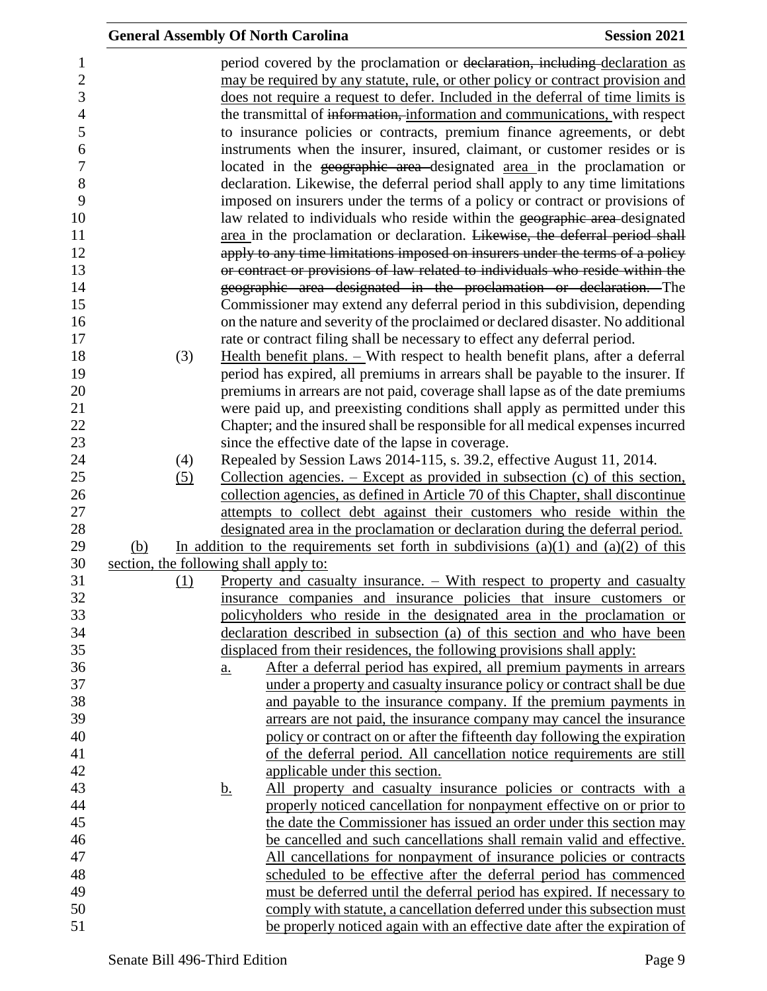|                | <b>General Assembly Of North Carolina</b> |           |                                                                                                                                                                           | <b>Session 2021</b> |
|----------------|-------------------------------------------|-----------|---------------------------------------------------------------------------------------------------------------------------------------------------------------------------|---------------------|
| $\mathbf{1}$   |                                           |           | period covered by the proclamation or declaration, including declaration as                                                                                               |                     |
| $\overline{2}$ |                                           |           | may be required by any statute, rule, or other policy or contract provision and                                                                                           |                     |
| 3              |                                           |           | does not require a request to defer. Included in the deferral of time limits is                                                                                           |                     |
| $\overline{4}$ |                                           |           | the transmittal of information, information and communications, with respect                                                                                              |                     |
| 5              |                                           |           | to insurance policies or contracts, premium finance agreements, or debt                                                                                                   |                     |
| 6              |                                           |           | instruments when the insurer, insured, claimant, or customer resides or is                                                                                                |                     |
| $\overline{7}$ |                                           |           | located in the geographic area designated <u>area</u> in the proclamation or                                                                                              |                     |
| 8              |                                           |           |                                                                                                                                                                           |                     |
| 9              |                                           |           | declaration. Likewise, the deferral period shall apply to any time limitations<br>imposed on insurers under the terms of a policy or contract or provisions of            |                     |
|                |                                           |           |                                                                                                                                                                           |                     |
| 10             |                                           |           | law related to individuals who reside within the geographic area designated                                                                                               |                     |
| 11             |                                           |           | area in the proclamation or declaration. Likewise, the deferral period shall                                                                                              |                     |
| 12             |                                           |           | apply to any time limitations imposed on insurers under the terms of a policy                                                                                             |                     |
| 13             |                                           |           | or contract or provisions of law related to individuals who reside within the                                                                                             |                     |
| 14             |                                           |           | geographic area designated in the proclamation or declaration. The                                                                                                        |                     |
| 15             |                                           |           | Commissioner may extend any deferral period in this subdivision, depending                                                                                                |                     |
| 16             |                                           |           | on the nature and severity of the proclaimed or declared disaster. No additional                                                                                          |                     |
| 17             |                                           |           | rate or contract filing shall be necessary to effect any deferral period.                                                                                                 |                     |
| 18             | (3)                                       |           | Health benefit plans. - With respect to health benefit plans, after a deferral                                                                                            |                     |
| 19             |                                           |           | period has expired, all premiums in arrears shall be payable to the insurer. If                                                                                           |                     |
| 20             |                                           |           | premiums in arrears are not paid, coverage shall lapse as of the date premiums                                                                                            |                     |
| 21             |                                           |           | were paid up, and preexisting conditions shall apply as permitted under this                                                                                              |                     |
| 22             |                                           |           | Chapter; and the insured shall be responsible for all medical expenses incurred                                                                                           |                     |
| 23             |                                           |           | since the effective date of the lapse in coverage.                                                                                                                        |                     |
| 24             | (4)                                       |           | Repealed by Session Laws 2014-115, s. 39.2, effective August 11, 2014.                                                                                                    |                     |
| 25             | (5)                                       |           | Collection agencies. $-$ Except as provided in subsection (c) of this section,                                                                                            |                     |
| 26<br>27       |                                           |           | collection agencies, as defined in Article 70 of this Chapter, shall discontinue                                                                                          |                     |
| 28             |                                           |           | attempts to collect debt against their customers who reside within the                                                                                                    |                     |
| 29             | (b)                                       |           | designated area in the proclamation or declaration during the deferral period.<br>In addition to the requirements set forth in subdivisions $(a)(1)$ and $(a)(2)$ of this |                     |
| 30             | section, the following shall apply to:    |           |                                                                                                                                                                           |                     |
| 31             | (1)                                       |           | Property and casualty insurance. - With respect to property and casualty                                                                                                  |                     |
| 32             |                                           |           | insurance companies and insurance policies that insure customers or                                                                                                       |                     |
| 33             |                                           |           | policyholders who reside in the designated area in the proclamation or                                                                                                    |                     |
| 34             |                                           |           | declaration described in subsection (a) of this section and who have been                                                                                                 |                     |
| 35             |                                           |           | displaced from their residences, the following provisions shall apply:                                                                                                    |                     |
| 36             |                                           | a.        | After a deferral period has expired, all premium payments in arrears                                                                                                      |                     |
| 37             |                                           |           | under a property and casualty insurance policy or contract shall be due                                                                                                   |                     |
| 38             |                                           |           | and payable to the insurance company. If the premium payments in                                                                                                          |                     |
| 39             |                                           |           | arrears are not paid, the insurance company may cancel the insurance                                                                                                      |                     |
| 40             |                                           |           | policy or contract on or after the fifteenth day following the expiration                                                                                                 |                     |
| 41             |                                           |           | of the deferral period. All cancellation notice requirements are still                                                                                                    |                     |
| 42             |                                           |           | applicable under this section.                                                                                                                                            |                     |
| 43             |                                           | <u>b.</u> | All property and casualty insurance policies or contracts with a                                                                                                          |                     |
| 44             |                                           |           | properly noticed cancellation for nonpayment effective on or prior to                                                                                                     |                     |
| 45             |                                           |           | the date the Commissioner has issued an order under this section may                                                                                                      |                     |
| 46             |                                           |           | be cancelled and such cancellations shall remain valid and effective.                                                                                                     |                     |
| 47             |                                           |           | All cancellations for nonpayment of insurance policies or contracts                                                                                                       |                     |
| 48             |                                           |           | scheduled to be effective after the deferral period has commenced                                                                                                         |                     |
| 49             |                                           |           | must be deferred until the deferral period has expired. If necessary to                                                                                                   |                     |
| 50             |                                           |           | comply with statute, a cancellation deferred under this subsection must                                                                                                   |                     |
| 51             |                                           |           | be properly noticed again with an effective date after the expiration of                                                                                                  |                     |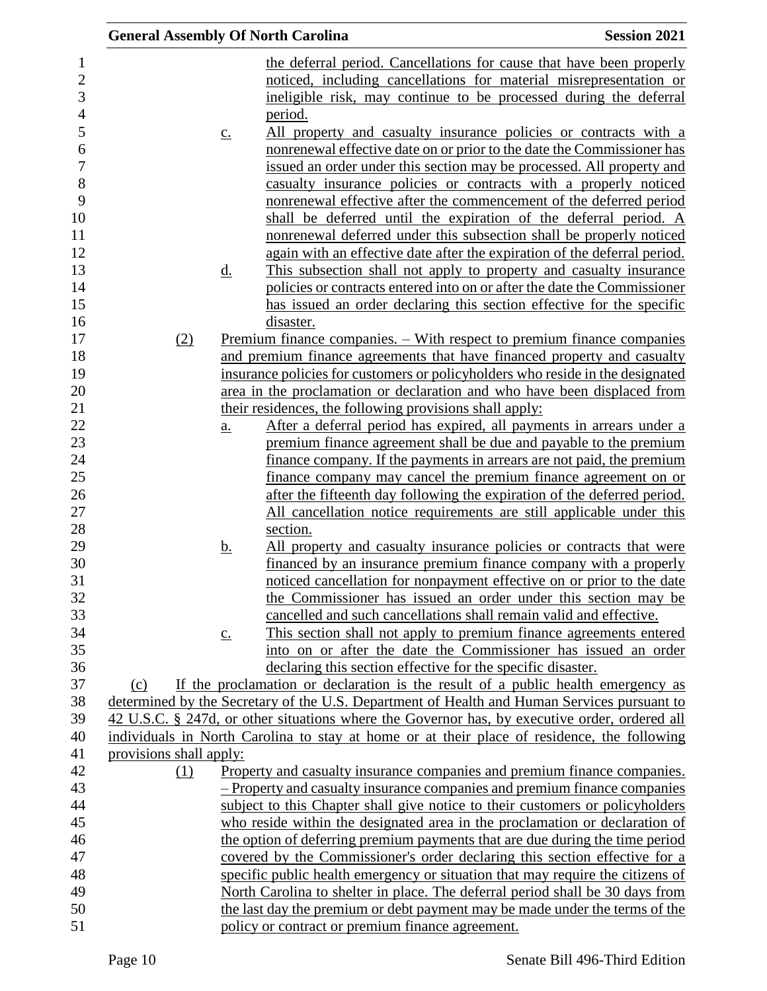|                         |                            | <b>General Assembly Of North Carolina</b>                                                                                               | <b>Session 2021</b> |
|-------------------------|----------------------------|-----------------------------------------------------------------------------------------------------------------------------------------|---------------------|
|                         |                            | the deferral period. Cancellations for cause that have been properly                                                                    |                     |
|                         |                            | noticed, including cancellations for material misrepresentation or                                                                      |                     |
|                         |                            | ineligible risk, may continue to be processed during the deferral                                                                       |                     |
|                         |                            | period.                                                                                                                                 |                     |
|                         | $\underline{c}$ .          | All property and casualty insurance policies or contracts with a                                                                        |                     |
|                         |                            | nonrenewal effective date on or prior to the date the Commissioner has                                                                  |                     |
|                         |                            | issued an order under this section may be processed. All property and                                                                   |                     |
|                         |                            | casualty insurance policies or contracts with a properly noticed                                                                        |                     |
|                         |                            | nonrenewal effective after the commencement of the deferred period                                                                      |                     |
|                         |                            | shall be deferred until the expiration of the deferral period. A                                                                        |                     |
|                         |                            | nonrenewal deferred under this subsection shall be properly noticed                                                                     |                     |
|                         |                            | again with an effective date after the expiration of the deferral period.                                                               |                     |
|                         | $\underline{\mathrm{d}}$ . | This subsection shall not apply to property and casualty insurance                                                                      |                     |
|                         |                            | policies or contracts entered into on or after the date the Commissioner                                                                |                     |
|                         |                            | has issued an order declaring this section effective for the specific                                                                   |                     |
|                         |                            | disaster.                                                                                                                               |                     |
| (2)                     |                            | <u>Premium finance companies. – With respect to premium finance companies</u>                                                           |                     |
|                         |                            | and premium finance agreements that have financed property and casualty                                                                 |                     |
|                         |                            | insurance policies for customers or policyholders who reside in the designated                                                          |                     |
|                         |                            | area in the proclamation or declaration and who have been displaced from                                                                |                     |
|                         |                            | their residences, the following provisions shall apply:                                                                                 |                     |
|                         | a.                         | After a deferral period has expired, all payments in arrears under a                                                                    |                     |
|                         |                            | premium finance agreement shall be due and payable to the premium                                                                       |                     |
|                         |                            | finance company. If the payments in arrears are not paid, the premium                                                                   |                     |
|                         |                            | finance company may cancel the premium finance agreement on or                                                                          |                     |
|                         |                            | after the fifteenth day following the expiration of the deferred period.                                                                |                     |
|                         |                            | All cancellation notice requirements are still applicable under this                                                                    |                     |
|                         |                            | section.                                                                                                                                |                     |
|                         | <u>b.</u>                  | All property and casualty insurance policies or contracts that were<br>financed by an insurance premium finance company with a properly |                     |
|                         |                            | noticed cancellation for nonpayment effective on or prior to the date                                                                   |                     |
|                         |                            | the Commissioner has issued an order under this section may be                                                                          |                     |
|                         |                            | cancelled and such cancellations shall remain valid and effective.                                                                      |                     |
|                         | $c_{\cdot}$                | This section shall not apply to premium finance agreements entered                                                                      |                     |
|                         |                            | into on or after the date the Commissioner has issued an order                                                                          |                     |
|                         |                            | declaring this section effective for the specific disaster.                                                                             |                     |
| (c)                     |                            | If the proclamation or declaration is the result of a public health emergency as                                                        |                     |
|                         |                            | determined by the Secretary of the U.S. Department of Health and Human Services pursuant to                                             |                     |
|                         |                            | 42 U.S.C. § 247d, or other situations where the Governor has, by executive order, ordered all                                           |                     |
|                         |                            | individuals in North Carolina to stay at home or at their place of residence, the following                                             |                     |
| provisions shall apply: |                            |                                                                                                                                         |                     |
| (1)                     |                            | Property and casualty insurance companies and premium finance companies.                                                                |                     |
|                         |                            | - Property and casualty insurance companies and premium finance companies                                                               |                     |
|                         |                            | subject to this Chapter shall give notice to their customers or policyholders                                                           |                     |
|                         |                            | who reside within the designated area in the proclamation or declaration of                                                             |                     |
|                         |                            | the option of deferring premium payments that are due during the time period                                                            |                     |
|                         |                            | covered by the Commissioner's order declaring this section effective for a                                                              |                     |
|                         |                            | specific public health emergency or situation that may require the citizens of                                                          |                     |
|                         |                            | North Carolina to shelter in place. The deferral period shall be 30 days from                                                           |                     |
|                         |                            | the last day the premium or debt payment may be made under the terms of the                                                             |                     |
|                         |                            | policy or contract or premium finance agreement.                                                                                        |                     |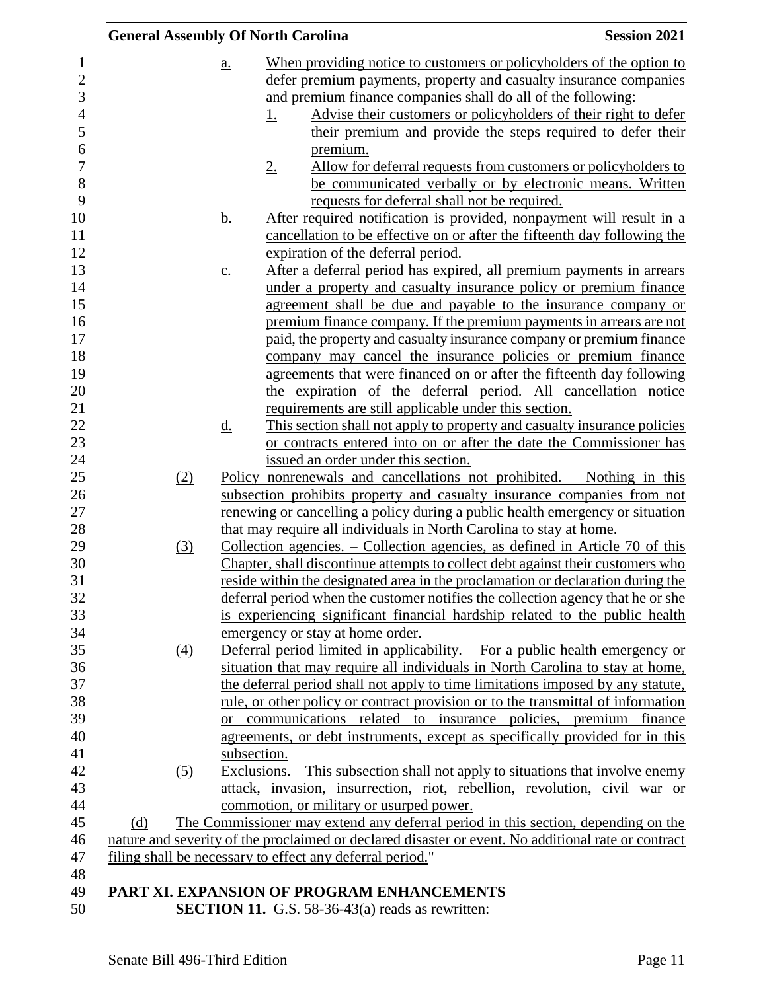|     |                   |                   | <b>General Assembly Of North Carolina</b>                                                                                                                        | <b>Session 2021</b> |
|-----|-------------------|-------------------|------------------------------------------------------------------------------------------------------------------------------------------------------------------|---------------------|
|     |                   | a.                | When providing notice to customers or policyholders of the option to                                                                                             |                     |
|     |                   |                   | defer premium payments, property and casualty insurance companies                                                                                                |                     |
|     |                   |                   | and premium finance companies shall do all of the following:                                                                                                     |                     |
|     |                   |                   | Advise their customers or policyholders of their right to defer<br>1.                                                                                            |                     |
|     |                   |                   | their premium and provide the steps required to defer their                                                                                                      |                     |
|     |                   |                   | premium.                                                                                                                                                         |                     |
|     |                   |                   | <u>Allow for deferral requests from customers or policyholders to</u><br>2.                                                                                      |                     |
|     |                   |                   | be communicated verbally or by electronic means. Written                                                                                                         |                     |
|     |                   |                   | requests for deferral shall not be required.                                                                                                                     |                     |
|     |                   |                   | After required notification is provided, nonpayment will result in a                                                                                             |                     |
|     |                   | <u>b.</u>         | cancellation to be effective on or after the fifteenth day following the                                                                                         |                     |
|     |                   |                   |                                                                                                                                                                  |                     |
|     |                   |                   | expiration of the deferral period.                                                                                                                               |                     |
|     |                   | $\underline{c}$ . | After a deferral period has expired, all premium payments in arrears                                                                                             |                     |
|     |                   |                   | under a property and casualty insurance policy or premium finance                                                                                                |                     |
|     |                   |                   | agreement shall be due and payable to the insurance company or                                                                                                   |                     |
|     |                   |                   | premium finance company. If the premium payments in arrears are not                                                                                              |                     |
|     |                   |                   | paid, the property and casualty insurance company or premium finance                                                                                             |                     |
|     |                   |                   | company may cancel the insurance policies or premium finance                                                                                                     |                     |
|     |                   |                   | agreements that were financed on or after the fifteenth day following                                                                                            |                     |
|     |                   |                   | the expiration of the deferral period. All cancellation notice                                                                                                   |                     |
|     |                   |                   | requirements are still applicable under this section.                                                                                                            |                     |
|     |                   | <u>d.</u>         | This section shall not apply to property and casualty insurance policies                                                                                         |                     |
|     |                   |                   | or contracts entered into on or after the date the Commissioner has                                                                                              |                     |
|     |                   |                   | issued an order under this section.                                                                                                                              |                     |
|     | (2)               |                   | Policy nonrenewals and cancellations not prohibited. – Nothing in this                                                                                           |                     |
|     |                   |                   | subsection prohibits property and casualty insurance companies from not                                                                                          |                     |
|     |                   |                   | renewing or cancelling a policy during a public health emergency or situation                                                                                    |                     |
|     |                   |                   | that may require all individuals in North Carolina to stay at home.                                                                                              |                     |
|     | (3)               |                   | Collection agencies. – Collection agencies, as defined in Article $70$ of this                                                                                   |                     |
|     |                   |                   | Chapter, shall discontinue attempts to collect debt against their customers who                                                                                  |                     |
|     |                   |                   | reside within the designated area in the proclamation or declaration during the                                                                                  |                     |
|     |                   |                   | deferral period when the customer notifies the collection agency that he or she                                                                                  |                     |
|     |                   |                   | is experiencing significant financial hardship related to the public health                                                                                      |                     |
|     |                   |                   | emergency or stay at home order.                                                                                                                                 |                     |
|     | $\underline{(4)}$ |                   | <u>Deferral period limited in applicability. – For a public health emergency or</u>                                                                              |                     |
|     |                   |                   | situation that may require all individuals in North Carolina to stay at home,                                                                                    |                     |
|     |                   |                   | the deferral period shall not apply to time limitations imposed by any statute,                                                                                  |                     |
|     |                   |                   | rule, or other policy or contract provision or to the transmittal of information                                                                                 |                     |
|     |                   |                   | or communications related to insurance policies, premium finance                                                                                                 |                     |
|     |                   |                   | agreements, or debt instruments, except as specifically provided for in this                                                                                     |                     |
|     |                   |                   | subsection.                                                                                                                                                      |                     |
|     |                   |                   |                                                                                                                                                                  |                     |
|     | (5)               |                   | Exclusions. – This subsection shall not apply to situations that involve enemy                                                                                   |                     |
|     |                   |                   | attack, invasion, insurrection, riot, rebellion, revolution, civil war or                                                                                        |                     |
|     |                   |                   | commotion, or military or usurped power.                                                                                                                         |                     |
| (d) |                   |                   | The Commissioner may extend any deferral period in this section, depending on the                                                                                |                     |
|     |                   |                   | nature and severity of the proclaimed or declared disaster or event. No additional rate or contract<br>filing shall be necessary to effect any deferral period." |                     |
|     |                   |                   |                                                                                                                                                                  |                     |

**SECTION 11.** G.S. 58-36-43(a) reads as rewritten: